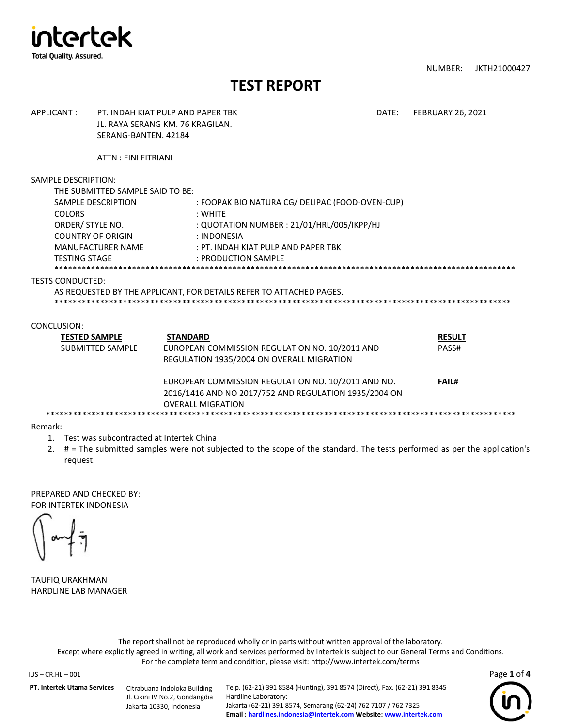

NUMBER: JKTH21000427

# **TEST REPORT**

| APPLICANT:                                                                                                   | PT. INDAH KIAT PUI P AND PAPER TRK<br>JL. RAYA SERANG KM. 76 KRAGILAN.<br>SERANG-BANTEN, 42184 |                                                                                                                                                                                       |  | <b>FEBRUARY 26, 2021</b> |
|--------------------------------------------------------------------------------------------------------------|------------------------------------------------------------------------------------------------|---------------------------------------------------------------------------------------------------------------------------------------------------------------------------------------|--|--------------------------|
|                                                                                                              | ATTN: FINI FITRIANI                                                                            |                                                                                                                                                                                       |  |                          |
| SAMPLE DESCRIPTION:<br><b>COLORS</b><br>ORDER/ STYLE NO.<br><b>COUNTRY OF ORIGIN</b><br><b>TESTING STAGE</b> | THE SUBMITTED SAMPLE SAID TO BE:<br>SAMPLE DESCRIPTION<br><b>MANUFACTURER NAME</b>             | : FOOPAK BIO NATURA CG/ DELIPAC (FOOD-OVEN-CUP)<br>: WHITE<br>: QUOTATION NUMBER : 21/01/HRL/005/IKPP/HJ<br>: INDONESIA<br>: PT. INDAH KIAT PULP AND PAPER TBK<br>: PRODUCTION SAMPLE |  |                          |
| <b>TESTS CONDUCTED:</b>                                                                                      |                                                                                                | AS REQUESTED BY THE APPLICANT, FOR DETAILS REFER TO ATTACHED PAGES.                                                                                                                   |  |                          |
| CONCLUSION:<br><b>TESTED SAMPLE</b>                                                                          | <b>SUBMITTED SAMPLE</b>                                                                        | <b>STANDARD</b><br>EUROPEAN COMMISSION REGULATION NO. 10/2011 AND<br>REGULATION 1935/2004 ON OVERALL MIGRATION                                                                        |  | <b>RESULT</b><br>PASS#   |
|                                                                                                              |                                                                                                | EUROPEAN COMMISSION REGULATION NO. 10/2011 AND NO.<br>2016/1416 AND NO 2017/752 AND REGULATION 1935/2004 ON<br><b>OVERALL MIGRATION</b>                                               |  | <b>FAIL#</b>             |

Remark:

- 1. Test was subcontracted at Intertek China
- 2. # = The submitted samples were not subjected to the scope of the standard. The tests performed as per the application's request.

PREPARED AND CHECKED BY: FOR INTERTEK INDONESIA

TAUFIQ URAKHMAN HARDLINE LAB MANAGER

The report shall not be reproduced wholly or in parts without written approval of the laboratory. Except where explicitly agreed in writing, all work and services performed by Intertek is subject to our General Terms and Conditions. For the complete term and condition, please visit: http://www.intertek.com/terms

IUS – CR.HL – 001 Page **1** of **4**

**PT. Intertek Utama Services** Citrabuana Indoloka Building

Jl. Cikini IV No.2, Gondangdia Jakarta 10330, Indonesia

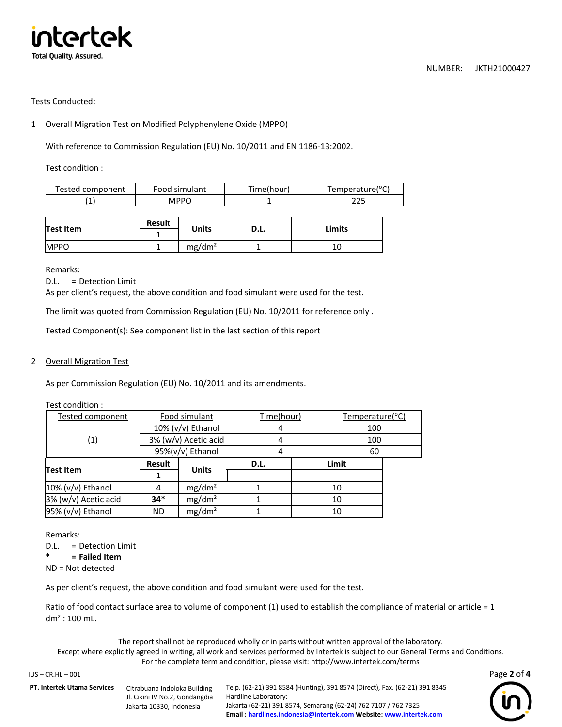

### Tests Conducted:

### 1 Overall Migration Test on Modified Polyphenylene Oxide (MPPO)

With reference to Commission Regulation (EU) No. 10/2011 and EN 1186-13:2002.

Test condition :

| Tested component | Food simulant | Time(hour) | Temperature(°C) |
|------------------|---------------|------------|-----------------|
|                  | MPPC          |            | つつに             |
|                  |               |            |                 |

|                  | Result | <b>Units</b>       | D.L. | Limits |
|------------------|--------|--------------------|------|--------|
| <b>Test Item</b> |        |                    |      |        |
| <b>MPPO</b>      |        | mg/dm <sup>2</sup> |      | 10     |

Remarks:

D.L. = Detection Limit

As per client's request, the above condition and food simulant were used for the test.

The limit was quoted from Commission Regulation (EU) No. 10/2011 for reference only .

Tested Component(s): See component list in the last section of this report

## 2 Overall Migration Test

As per Commission Regulation (EU) No. 10/2011 and its amendments.

| Test condition :     |                      |                    |      |            |    |                 |  |
|----------------------|----------------------|--------------------|------|------------|----|-----------------|--|
| Tested component     | Food simulant        |                    |      | Time(hour) |    | Temperature(°C) |  |
|                      | 10% (v/v) Ethanol    |                    |      |            |    | 100             |  |
| (1)                  | 3% (w/v) Acetic acid |                    | 4    |            |    | 100             |  |
|                      | 95%(v/v) Ethanol     |                    |      |            |    | 60              |  |
| <b>Test Item</b>     | Result               |                    | D.L. | Limit      |    |                 |  |
|                      |                      | <b>Units</b>       |      |            |    |                 |  |
| $10\%$ (v/v) Ethanol | 4                    | mg/dm <sup>2</sup> |      |            | 10 |                 |  |
| 3% (w/v) Acetic acid | $34*$                | mg/dm <sup>2</sup> |      |            | 10 |                 |  |
| 95% (v/v) Ethanol    | <b>ND</b>            | mg/dm <sup>2</sup> |      |            | 10 |                 |  |

Remarks:

D.L. = Detection Limit

**\* = Failed Item**

ND = Not detected

As per client's request, the above condition and food simulant were used for the test.

Ratio of food contact surface area to volume of component (1) used to establish the compliance of material or article = 1 dm<sup>2</sup> : 100 mL.

The report shall not be reproduced wholly or in parts without written approval of the laboratory. Except where explicitly agreed in writing, all work and services performed by Intertek is subject to our General Terms and Conditions. For the complete term and condition, please visit: http://www.intertek.com/terms

IUS – CR.HL – 001 Page **2** of **4**

**PT. Intertek Utama Services** Citrabuana Indoloka Building Jl. Cikini IV No.2, Gondangdia Jakarta 10330, Indonesia

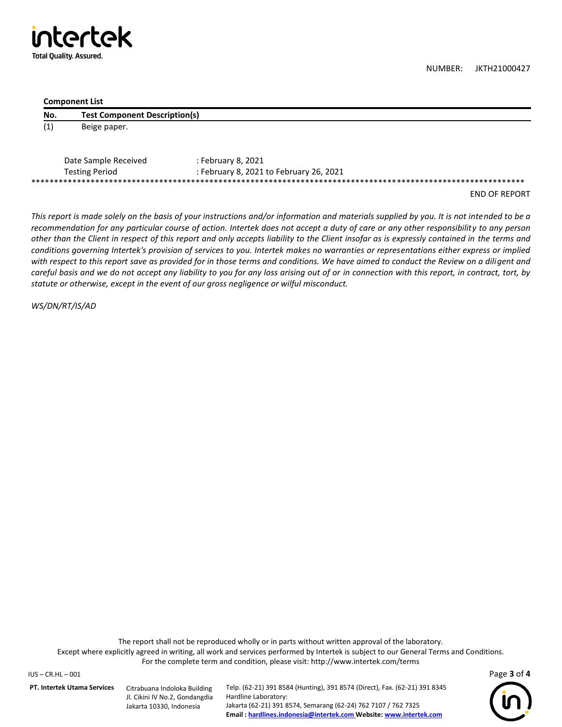Itertek **Total Quality. Assured.** 

NUMBER: JKTH21000427

#### **Component List**

| No.               | <b>Test Component Description(s)</b> |                    |
|-------------------|--------------------------------------|--------------------|
| $\left( 1\right)$ | Beige paper.                         |                    |
|                   |                                      |                    |
|                   | Date Sample Received                 | : February 8, 2021 |

| Date Salling Received | . February 6, ZUZI                      |
|-----------------------|-----------------------------------------|
| Testing Period        | : February 8, 2021 to February 26, 2021 |
|                       |                                         |
|                       |                                         |

END OF REPORT

*This report is made solely on the basis of your instructions and/or information and materials supplied by you. It is not intended to be a recommendation for any particular course of action. Intertek does not accept a duty of care or any other responsibility to any person other than the Client in respect of this report and only accepts liability to the Client insofar as is expressly contained in the terms and conditions governing Intertek's provision of services to you. Intertek makes no warranties or representations either express or implied with respect to this report save as provided for in those terms and conditions. We have aimed to conduct the Review on a diligent and careful basis and we do not accept any liability to you for any loss arising out of or in connection with this report, in contract, tort, by statute or otherwise, except in the event of our gross negligence or wilful misconduct.*

*WS/DN/RT/IS/AD*

The report shall not be reproduced wholly or in parts without written approval of the laboratory. Except where explicitly agreed in writing, all work and services performed by Intertek is subject to our General Terms and Conditions. For the complete term and condition, please visit: http://www.intertek.com/terms

IUS – CR.HL – 001 Page **3** of **4**

**PT. Intertek Utama Services** Citrabuana Indoloka Building

Jl. Cikini IV No.2, Gondangdia Jakarta 10330, Indonesia